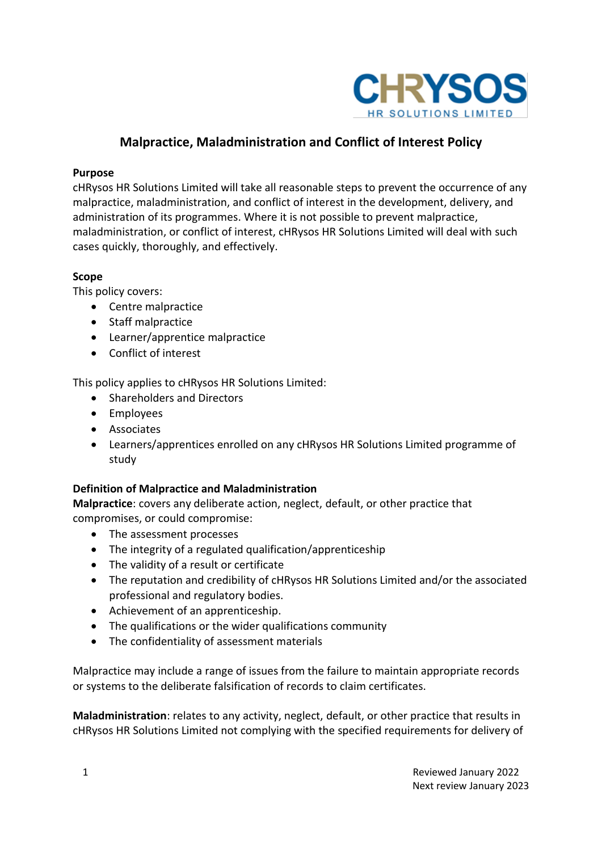

# **Malpractice, Maladministration and Conflict of Interest Policy**

#### **Purpose**

cHRysos HR Solutions Limited will take all reasonable steps to prevent the occurrence of any malpractice, maladministration, and conflict of interest in the development, delivery, and administration of its programmes. Where it is not possible to prevent malpractice, maladministration, or conflict of interest, cHRysos HR Solutions Limited will deal with such cases quickly, thoroughly, and effectively.

#### **Scope**

This policy covers:

- Centre malpractice
- Staff malpractice
- Learner/apprentice malpractice
- Conflict of interest

This policy applies to cHRysos HR Solutions Limited:

- Shareholders and Directors
- Employees
- Associates
- Learners/apprentices enrolled on any cHRysos HR Solutions Limited programme of study

#### **Definition of Malpractice and Maladministration**

**Malpractice**: covers any deliberate action, neglect, default, or other practice that compromises, or could compromise:

- The assessment processes
- The integrity of a regulated qualification/apprenticeship
- The validity of a result or certificate
- The reputation and credibility of cHRysos HR Solutions Limited and/or the associated professional and regulatory bodies.
- Achievement of an apprenticeship.
- The qualifications or the wider qualifications community
- The confidentiality of assessment materials

Malpractice may include a range of issues from the failure to maintain appropriate records or systems to the deliberate falsification of records to claim certificates.

**Maladministration**: relates to any activity, neglect, default, or other practice that results in cHRysos HR Solutions Limited not complying with the specified requirements for delivery of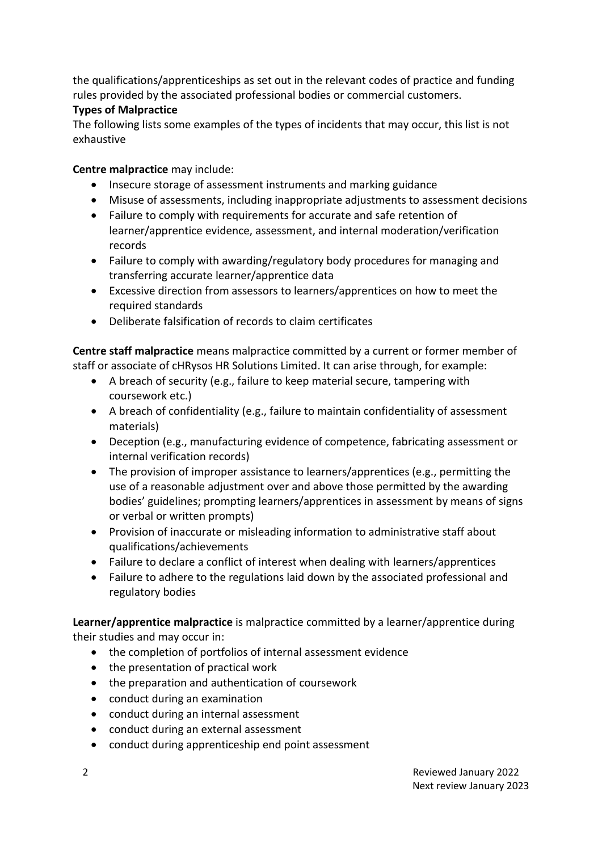the qualifications/apprenticeships as set out in the relevant codes of practice and funding rules provided by the associated professional bodies or commercial customers.

## **Types of Malpractice**

The following lists some examples of the types of incidents that may occur, this list is not exhaustive

**Centre malpractice** may include:

- Insecure storage of assessment instruments and marking guidance
- Misuse of assessments, including inappropriate adjustments to assessment decisions
- Failure to comply with requirements for accurate and safe retention of learner/apprentice evidence, assessment, and internal moderation/verification records
- Failure to comply with awarding/regulatory body procedures for managing and transferring accurate learner/apprentice data
- Excessive direction from assessors to learners/apprentices on how to meet the required standards
- Deliberate falsification of records to claim certificates

**Centre staff malpractice** means malpractice committed by a current or former member of staff or associate of cHRysos HR Solutions Limited. It can arise through, for example:

- A breach of security (e.g., failure to keep material secure, tampering with coursework etc.)
- A breach of confidentiality (e.g., failure to maintain confidentiality of assessment materials)
- Deception (e.g., manufacturing evidence of competence, fabricating assessment or internal verification records)
- The provision of improper assistance to learners/apprentices (e.g., permitting the use of a reasonable adjustment over and above those permitted by the awarding bodies' guidelines; prompting learners/apprentices in assessment by means of signs or verbal or written prompts)
- Provision of inaccurate or misleading information to administrative staff about qualifications/achievements
- Failure to declare a conflict of interest when dealing with learners/apprentices
- Failure to adhere to the regulations laid down by the associated professional and regulatory bodies

**Learner/apprentice malpractice** is malpractice committed by a learner/apprentice during their studies and may occur in:

- the completion of portfolios of internal assessment evidence
- the presentation of practical work
- the preparation and authentication of coursework
- conduct during an examination
- conduct during an internal assessment
- conduct during an external assessment
- conduct during apprenticeship end point assessment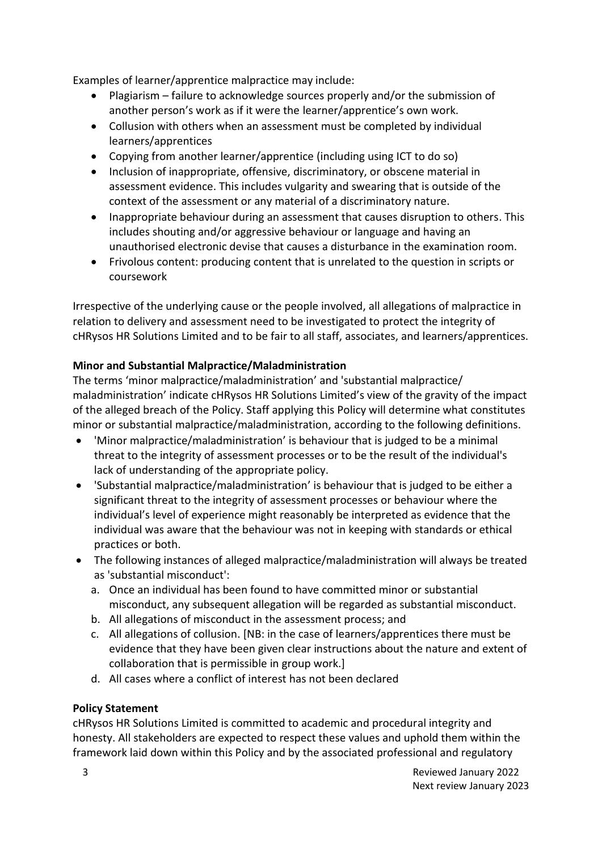Examples of learner/apprentice malpractice may include:

- Plagiarism failure to acknowledge sources properly and/or the submission of another person's work as if it were the learner/apprentice's own work.
- Collusion with others when an assessment must be completed by individual learners/apprentices
- Copying from another learner/apprentice (including using ICT to do so)
- Inclusion of inappropriate, offensive, discriminatory, or obscene material in assessment evidence. This includes vulgarity and swearing that is outside of the context of the assessment or any material of a discriminatory nature.
- Inappropriate behaviour during an assessment that causes disruption to others. This includes shouting and/or aggressive behaviour or language and having an unauthorised electronic devise that causes a disturbance in the examination room.
- Frivolous content: producing content that is unrelated to the question in scripts or coursework

Irrespective of the underlying cause or the people involved, all allegations of malpractice in relation to delivery and assessment need to be investigated to protect the integrity of cHRysos HR Solutions Limited and to be fair to all staff, associates, and learners/apprentices.

## **Minor and Substantial Malpractice/Maladministration**

The terms 'minor malpractice/maladministration' and 'substantial malpractice/ maladministration' indicate cHRysos HR Solutions Limited's view of the gravity of the impact of the alleged breach of the Policy. Staff applying this Policy will determine what constitutes minor or substantial malpractice/maladministration, according to the following definitions.

- 'Minor malpractice/maladministration' is behaviour that is judged to be a minimal threat to the integrity of assessment processes or to be the result of the individual's lack of understanding of the appropriate policy.
- 'Substantial malpractice/maladministration' is behaviour that is judged to be either a significant threat to the integrity of assessment processes or behaviour where the individual's level of experience might reasonably be interpreted as evidence that the individual was aware that the behaviour was not in keeping with standards or ethical practices or both.
- The following instances of alleged malpractice/maladministration will always be treated as 'substantial misconduct':
	- a. Once an individual has been found to have committed minor or substantial misconduct, any subsequent allegation will be regarded as substantial misconduct.
	- b. All allegations of misconduct in the assessment process; and
	- c. All allegations of collusion. [NB: in the case of learners/apprentices there must be evidence that they have been given clear instructions about the nature and extent of collaboration that is permissible in group work.]
	- d. All cases where a conflict of interest has not been declared

## **Policy Statement**

cHRysos HR Solutions Limited is committed to academic and procedural integrity and honesty. All stakeholders are expected to respect these values and uphold them within the framework laid down within this Policy and by the associated professional and regulatory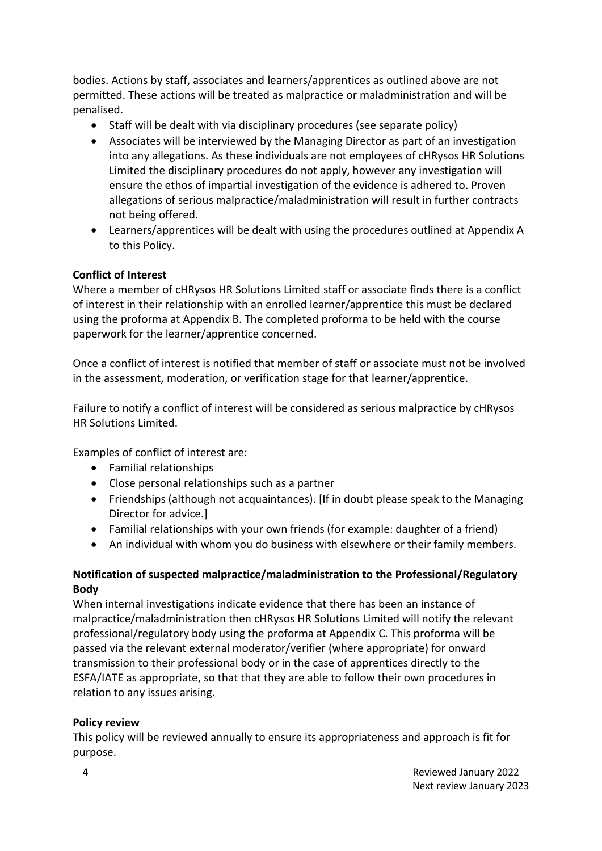bodies. Actions by staff, associates and learners/apprentices as outlined above are not permitted. These actions will be treated as malpractice or maladministration and will be penalised.

- Staff will be dealt with via disciplinary procedures (see separate policy)
- Associates will be interviewed by the Managing Director as part of an investigation into any allegations. As these individuals are not employees of cHRysos HR Solutions Limited the disciplinary procedures do not apply, however any investigation will ensure the ethos of impartial investigation of the evidence is adhered to. Proven allegations of serious malpractice/maladministration will result in further contracts not being offered.
- Learners/apprentices will be dealt with using the procedures outlined at Appendix A to this Policy.

## **Conflict of Interest**

Where a member of cHRysos HR Solutions Limited staff or associate finds there is a conflict of interest in their relationship with an enrolled learner/apprentice this must be declared using the proforma at Appendix B. The completed proforma to be held with the course paperwork for the learner/apprentice concerned.

Once a conflict of interest is notified that member of staff or associate must not be involved in the assessment, moderation, or verification stage for that learner/apprentice.

Failure to notify a conflict of interest will be considered as serious malpractice by cHRysos HR Solutions Limited.

Examples of conflict of interest are:

- Familial relationships
- Close personal relationships such as a partner
- Friendships (although not acquaintances). [If in doubt please speak to the Managing Director for advice.]
- Familial relationships with your own friends (for example: daughter of a friend)
- An individual with whom you do business with elsewhere or their family members.

#### **Notification of suspected malpractice/maladministration to the Professional/Regulatory Body**

When internal investigations indicate evidence that there has been an instance of malpractice/maladministration then cHRysos HR Solutions Limited will notify the relevant professional/regulatory body using the proforma at Appendix C. This proforma will be passed via the relevant external moderator/verifier (where appropriate) for onward transmission to their professional body or in the case of apprentices directly to the ESFA/IATE as appropriate, so that that they are able to follow their own procedures in relation to any issues arising.

#### **Policy review**

This policy will be reviewed annually to ensure its appropriateness and approach is fit for purpose.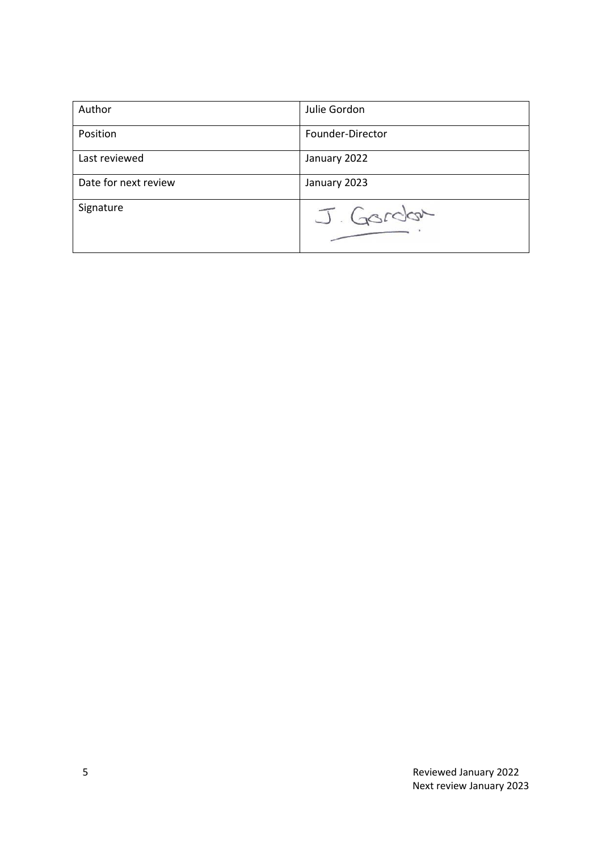| Author               | Julie Gordon     |
|----------------------|------------------|
| Position             | Founder-Director |
| Last reviewed        | January 2022     |
| Date for next review | January 2023     |
| Signature            | J. Gordon        |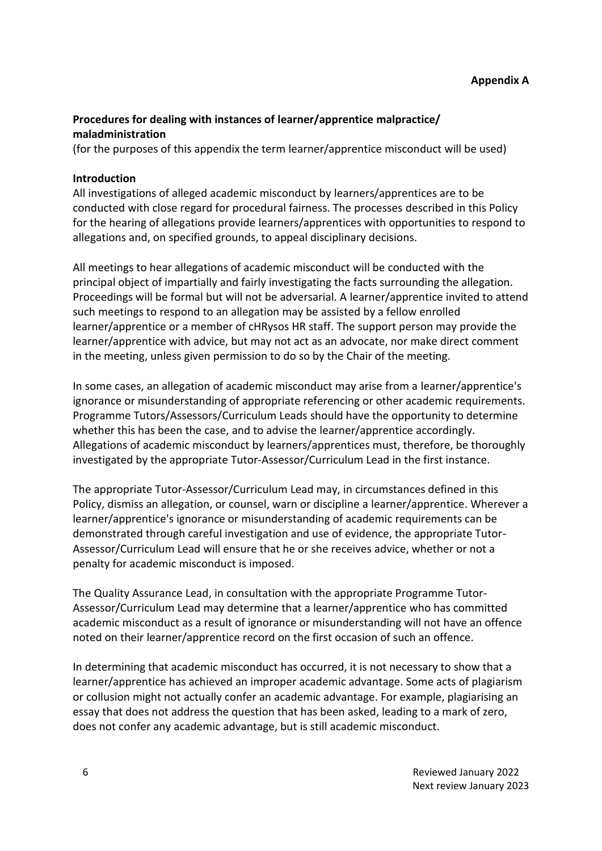## **Procedures for dealing with instances of learner/apprentice malpractice/ maladministration**

(for the purposes of this appendix the term learner/apprentice misconduct will be used)

#### **Introduction**

All investigations of alleged academic misconduct by learners/apprentices are to be conducted with close regard for procedural fairness. The processes described in this Policy for the hearing of allegations provide learners/apprentices with opportunities to respond to allegations and, on specified grounds, to appeal disciplinary decisions.

All meetings to hear allegations of academic misconduct will be conducted with the principal object of impartially and fairly investigating the facts surrounding the allegation. Proceedings will be formal but will not be adversarial. A learner/apprentice invited to attend such meetings to respond to an allegation may be assisted by a fellow enrolled learner/apprentice or a member of cHRysos HR staff. The support person may provide the learner/apprentice with advice, but may not act as an advocate, nor make direct comment in the meeting, unless given permission to do so by the Chair of the meeting.

In some cases, an allegation of academic misconduct may arise from a learner/apprentice's ignorance or misunderstanding of appropriate referencing or other academic requirements. Programme Tutors/Assessors/Curriculum Leads should have the opportunity to determine whether this has been the case, and to advise the learner/apprentice accordingly. Allegations of academic misconduct by learners/apprentices must, therefore, be thoroughly investigated by the appropriate Tutor-Assessor/Curriculum Lead in the first instance.

The appropriate Tutor-Assessor/Curriculum Lead may, in circumstances defined in this Policy, dismiss an allegation, or counsel, warn or discipline a learner/apprentice. Wherever a learner/apprentice's ignorance or misunderstanding of academic requirements can be demonstrated through careful investigation and use of evidence, the appropriate Tutor-Assessor/Curriculum Lead will ensure that he or she receives advice, whether or not a penalty for academic misconduct is imposed.

The Quality Assurance Lead, in consultation with the appropriate Programme Tutor-Assessor/Curriculum Lead may determine that a learner/apprentice who has committed academic misconduct as a result of ignorance or misunderstanding will not have an offence noted on their learner/apprentice record on the first occasion of such an offence.

In determining that academic misconduct has occurred, it is not necessary to show that a learner/apprentice has achieved an improper academic advantage. Some acts of plagiarism or collusion might not actually confer an academic advantage. For example, plagiarising an essay that does not address the question that has been asked, leading to a mark of zero, does not confer any academic advantage, but is still academic misconduct.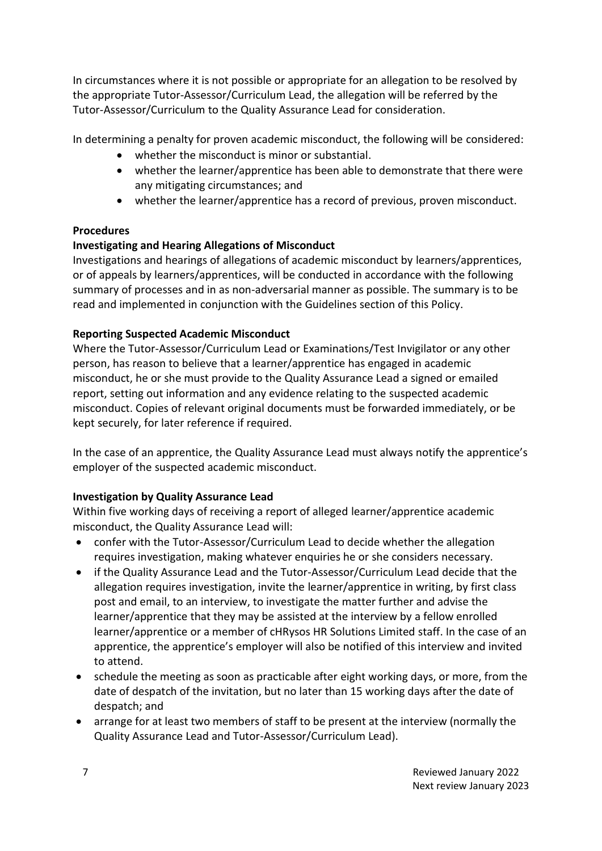In circumstances where it is not possible or appropriate for an allegation to be resolved by the appropriate Tutor-Assessor/Curriculum Lead, the allegation will be referred by the Tutor-Assessor/Curriculum to the Quality Assurance Lead for consideration.

In determining a penalty for proven academic misconduct, the following will be considered:

- whether the misconduct is minor or substantial.
- whether the learner/apprentice has been able to demonstrate that there were any mitigating circumstances; and
- whether the learner/apprentice has a record of previous, proven misconduct.

# **Procedures**

# **Investigating and Hearing Allegations of Misconduct**

Investigations and hearings of allegations of academic misconduct by learners/apprentices, or of appeals by learners/apprentices, will be conducted in accordance with the following summary of processes and in as non-adversarial manner as possible. The summary is to be read and implemented in conjunction with the Guidelines section of this Policy.

# **Reporting Suspected Academic Misconduct**

Where the Tutor-Assessor/Curriculum Lead or Examinations/Test Invigilator or any other person, has reason to believe that a learner/apprentice has engaged in academic misconduct, he or she must provide to the Quality Assurance Lead a signed or emailed report, setting out information and any evidence relating to the suspected academic misconduct. Copies of relevant original documents must be forwarded immediately, or be kept securely, for later reference if required.

In the case of an apprentice, the Quality Assurance Lead must always notify the apprentice's employer of the suspected academic misconduct.

# **Investigation by Quality Assurance Lead**

Within five working days of receiving a report of alleged learner/apprentice academic misconduct, the Quality Assurance Lead will:

- confer with the Tutor-Assessor/Curriculum Lead to decide whether the allegation requires investigation, making whatever enquiries he or she considers necessary.
- if the Quality Assurance Lead and the Tutor-Assessor/Curriculum Lead decide that the allegation requires investigation, invite the learner/apprentice in writing, by first class post and email, to an interview, to investigate the matter further and advise the learner/apprentice that they may be assisted at the interview by a fellow enrolled learner/apprentice or a member of cHRysos HR Solutions Limited staff. In the case of an apprentice, the apprentice's employer will also be notified of this interview and invited to attend.
- schedule the meeting as soon as practicable after eight working days, or more, from the date of despatch of the invitation, but no later than 15 working days after the date of despatch; and
- arrange for at least two members of staff to be present at the interview (normally the Quality Assurance Lead and Tutor-Assessor/Curriculum Lead).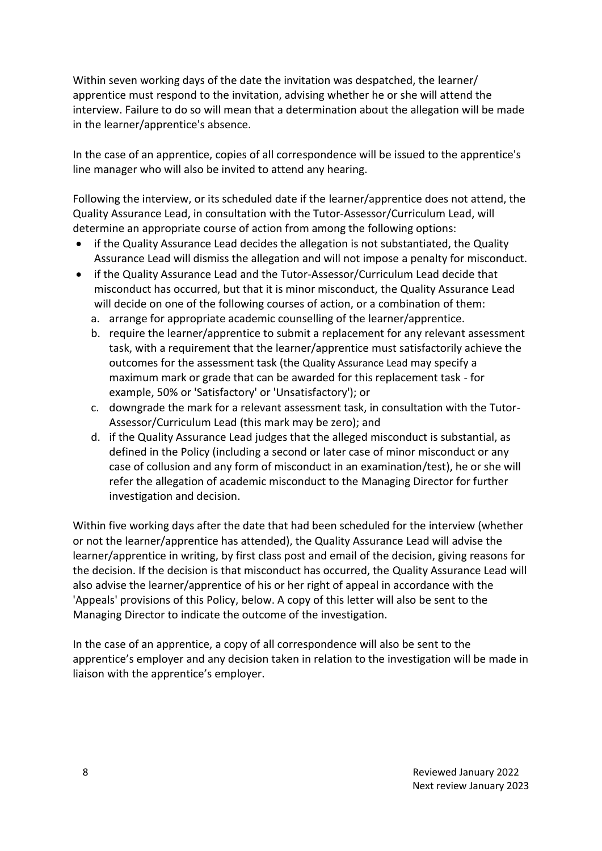Within seven working days of the date the invitation was despatched, the learner/ apprentice must respond to the invitation, advising whether he or she will attend the interview. Failure to do so will mean that a determination about the allegation will be made in the learner/apprentice's absence.

In the case of an apprentice, copies of all correspondence will be issued to the apprentice's line manager who will also be invited to attend any hearing.

Following the interview, or its scheduled date if the learner/apprentice does not attend, the Quality Assurance Lead, in consultation with the Tutor-Assessor/Curriculum Lead, will determine an appropriate course of action from among the following options:

- if the Quality Assurance Lead decides the allegation is not substantiated, the Quality Assurance Lead will dismiss the allegation and will not impose a penalty for misconduct.
- if the Quality Assurance Lead and the Tutor-Assessor/Curriculum Lead decide that misconduct has occurred, but that it is minor misconduct, the Quality Assurance Lead will decide on one of the following courses of action, or a combination of them:
	- a. arrange for appropriate academic counselling of the learner/apprentice.
	- b. require the learner/apprentice to submit a replacement for any relevant assessment task, with a requirement that the learner/apprentice must satisfactorily achieve the outcomes for the assessment task (the Quality Assurance Lead may specify a maximum mark or grade that can be awarded for this replacement task - for example, 50% or 'Satisfactory' or 'Unsatisfactory'); or
	- c. downgrade the mark for a relevant assessment task, in consultation with the Tutor-Assessor/Curriculum Lead (this mark may be zero); and
	- d. if the Quality Assurance Lead judges that the alleged misconduct is substantial, as defined in the Policy (including a second or later case of minor misconduct or any case of collusion and any form of misconduct in an examination/test), he or she will refer the allegation of academic misconduct to the Managing Director for further investigation and decision.

Within five working days after the date that had been scheduled for the interview (whether or not the learner/apprentice has attended), the Quality Assurance Lead will advise the learner/apprentice in writing, by first class post and email of the decision, giving reasons for the decision. If the decision is that misconduct has occurred, the Quality Assurance Lead will also advise the learner/apprentice of his or her right of appeal in accordance with the 'Appeals' provisions of this Policy, below. A copy of this letter will also be sent to the Managing Director to indicate the outcome of the investigation.

In the case of an apprentice, a copy of all correspondence will also be sent to the apprentice's employer and any decision taken in relation to the investigation will be made in liaison with the apprentice's employer.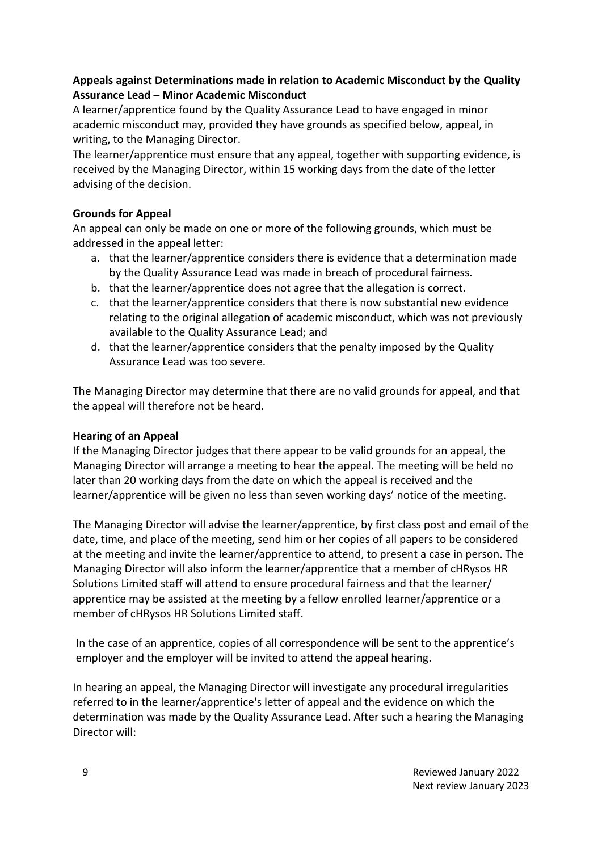## **Appeals against Determinations made in relation to Academic Misconduct by the Quality Assurance Lead – Minor Academic Misconduct**

A learner/apprentice found by the Quality Assurance Lead to have engaged in minor academic misconduct may, provided they have grounds as specified below, appeal, in writing, to the Managing Director.

The learner/apprentice must ensure that any appeal, together with supporting evidence, is received by the Managing Director, within 15 working days from the date of the letter advising of the decision.

## **Grounds for Appeal**

An appeal can only be made on one or more of the following grounds, which must be addressed in the appeal letter:

- a. that the learner/apprentice considers there is evidence that a determination made by the Quality Assurance Lead was made in breach of procedural fairness.
- b. that the learner/apprentice does not agree that the allegation is correct.
- c. that the learner/apprentice considers that there is now substantial new evidence relating to the original allegation of academic misconduct, which was not previously available to the Quality Assurance Lead; and
- d. that the learner/apprentice considers that the penalty imposed by the Quality Assurance Lead was too severe.

The Managing Director may determine that there are no valid grounds for appeal, and that the appeal will therefore not be heard.

## **Hearing of an Appeal**

If the Managing Director judges that there appear to be valid grounds for an appeal, the Managing Director will arrange a meeting to hear the appeal. The meeting will be held no later than 20 working days from the date on which the appeal is received and the learner/apprentice will be given no less than seven working days' notice of the meeting.

The Managing Director will advise the learner/apprentice, by first class post and email of the date, time, and place of the meeting, send him or her copies of all papers to be considered at the meeting and invite the learner/apprentice to attend, to present a case in person. The Managing Director will also inform the learner/apprentice that a member of cHRysos HR Solutions Limited staff will attend to ensure procedural fairness and that the learner/ apprentice may be assisted at the meeting by a fellow enrolled learner/apprentice or a member of cHRysos HR Solutions Limited staff.

In the case of an apprentice, copies of all correspondence will be sent to the apprentice's employer and the employer will be invited to attend the appeal hearing.

In hearing an appeal, the Managing Director will investigate any procedural irregularities referred to in the learner/apprentice's letter of appeal and the evidence on which the determination was made by the Quality Assurance Lead. After such a hearing the Managing Director will: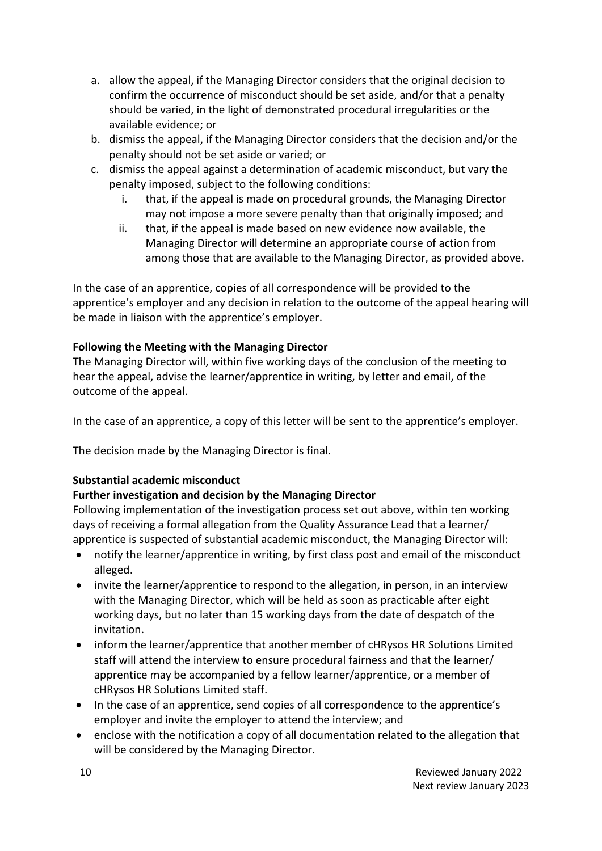- a. allow the appeal, if the Managing Director considers that the original decision to confirm the occurrence of misconduct should be set aside, and/or that a penalty should be varied, in the light of demonstrated procedural irregularities or the available evidence; or
- b. dismiss the appeal, if the Managing Director considers that the decision and/or the penalty should not be set aside or varied; or
- c. dismiss the appeal against a determination of academic misconduct, but vary the penalty imposed, subject to the following conditions:
	- i. that, if the appeal is made on procedural grounds, the Managing Director may not impose a more severe penalty than that originally imposed; and
	- ii. that, if the appeal is made based on new evidence now available, the Managing Director will determine an appropriate course of action from among those that are available to the Managing Director, as provided above.

In the case of an apprentice, copies of all correspondence will be provided to the apprentice's employer and any decision in relation to the outcome of the appeal hearing will be made in liaison with the apprentice's employer.

# **Following the Meeting with the Managing Director**

The Managing Director will, within five working days of the conclusion of the meeting to hear the appeal, advise the learner/apprentice in writing, by letter and email, of the outcome of the appeal.

In the case of an apprentice, a copy of this letter will be sent to the apprentice's employer.

The decision made by the Managing Director is final.

# **Substantial academic misconduct**

# **Further investigation and decision by the Managing Director**

Following implementation of the investigation process set out above, within ten working days of receiving a formal allegation from the Quality Assurance Lead that a learner/ apprentice is suspected of substantial academic misconduct, the Managing Director will:

- notify the learner/apprentice in writing, by first class post and email of the misconduct alleged.
- invite the learner/apprentice to respond to the allegation, in person, in an interview with the Managing Director, which will be held as soon as practicable after eight working days, but no later than 15 working days from the date of despatch of the invitation.
- inform the learner/apprentice that another member of cHRysos HR Solutions Limited staff will attend the interview to ensure procedural fairness and that the learner/ apprentice may be accompanied by a fellow learner/apprentice, or a member of cHRysos HR Solutions Limited staff.
- In the case of an apprentice, send copies of all correspondence to the apprentice's employer and invite the employer to attend the interview; and
- enclose with the notification a copy of all documentation related to the allegation that will be considered by the Managing Director.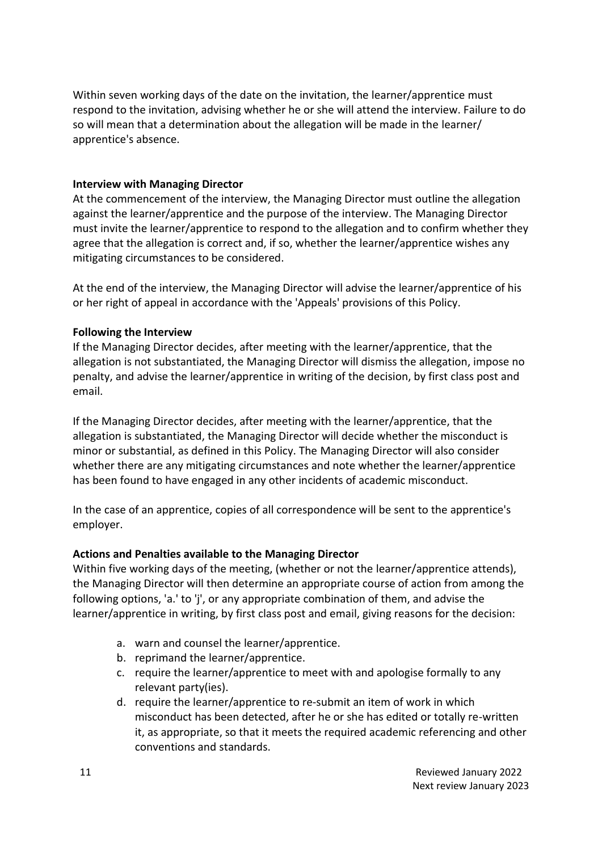Within seven working days of the date on the invitation, the learner/apprentice must respond to the invitation, advising whether he or she will attend the interview. Failure to do so will mean that a determination about the allegation will be made in the learner/ apprentice's absence.

#### **Interview with Managing Director**

At the commencement of the interview, the Managing Director must outline the allegation against the learner/apprentice and the purpose of the interview. The Managing Director must invite the learner/apprentice to respond to the allegation and to confirm whether they agree that the allegation is correct and, if so, whether the learner/apprentice wishes any mitigating circumstances to be considered.

At the end of the interview, the Managing Director will advise the learner/apprentice of his or her right of appeal in accordance with the 'Appeals' provisions of this Policy.

#### **Following the Interview**

If the Managing Director decides, after meeting with the learner/apprentice, that the allegation is not substantiated, the Managing Director will dismiss the allegation, impose no penalty, and advise the learner/apprentice in writing of the decision, by first class post and email.

If the Managing Director decides, after meeting with the learner/apprentice, that the allegation is substantiated, the Managing Director will decide whether the misconduct is minor or substantial, as defined in this Policy. The Managing Director will also consider whether there are any mitigating circumstances and note whether the learner/apprentice has been found to have engaged in any other incidents of academic misconduct.

In the case of an apprentice, copies of all correspondence will be sent to the apprentice's employer.

#### **Actions and Penalties available to the Managing Director**

Within five working days of the meeting, (whether or not the learner/apprentice attends), the Managing Director will then determine an appropriate course of action from among the following options, 'a.' to 'j', or any appropriate combination of them, and advise the learner/apprentice in writing, by first class post and email, giving reasons for the decision:

- a. warn and counsel the learner/apprentice.
- b. reprimand the learner/apprentice.
- c. require the learner/apprentice to meet with and apologise formally to any relevant party(ies).
- d. require the learner/apprentice to re-submit an item of work in which misconduct has been detected, after he or she has edited or totally re-written it, as appropriate, so that it meets the required academic referencing and other conventions and standards.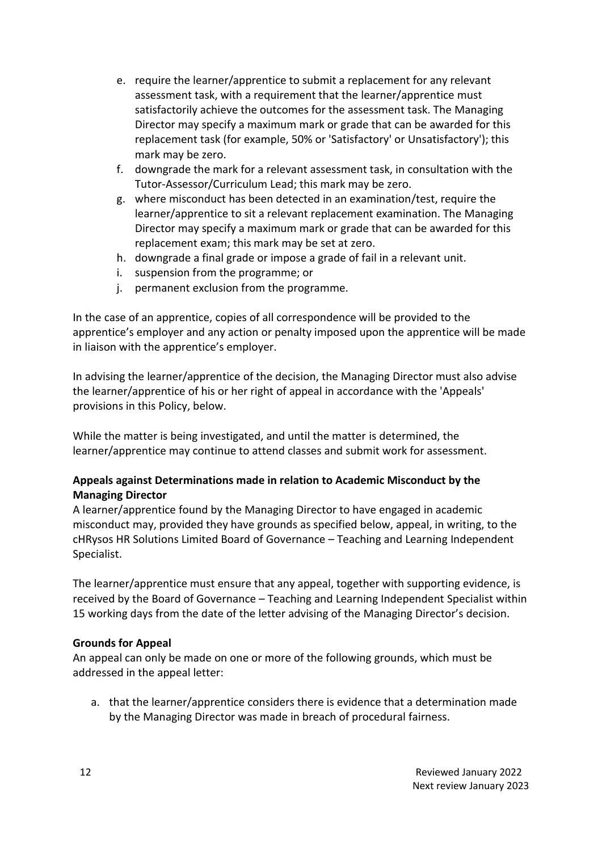- e. require the learner/apprentice to submit a replacement for any relevant assessment task, with a requirement that the learner/apprentice must satisfactorily achieve the outcomes for the assessment task. The Managing Director may specify a maximum mark or grade that can be awarded for this replacement task (for example, 50% or 'Satisfactory' or Unsatisfactory'); this mark may be zero.
- f. downgrade the mark for a relevant assessment task, in consultation with the Tutor-Assessor/Curriculum Lead; this mark may be zero.
- g. where misconduct has been detected in an examination/test, require the learner/apprentice to sit a relevant replacement examination. The Managing Director may specify a maximum mark or grade that can be awarded for this replacement exam; this mark may be set at zero.
- h. downgrade a final grade or impose a grade of fail in a relevant unit.
- i. suspension from the programme; or
- j. permanent exclusion from the programme.

In the case of an apprentice, copies of all correspondence will be provided to the apprentice's employer and any action or penalty imposed upon the apprentice will be made in liaison with the apprentice's employer.

In advising the learner/apprentice of the decision, the Managing Director must also advise the learner/apprentice of his or her right of appeal in accordance with the 'Appeals' provisions in this Policy, below.

While the matter is being investigated, and until the matter is determined, the learner/apprentice may continue to attend classes and submit work for assessment.

## **Appeals against Determinations made in relation to Academic Misconduct by the Managing Director**

A learner/apprentice found by the Managing Director to have engaged in academic misconduct may, provided they have grounds as specified below, appeal, in writing, to the cHRysos HR Solutions Limited Board of Governance – Teaching and Learning Independent Specialist.

The learner/apprentice must ensure that any appeal, together with supporting evidence, is received by the Board of Governance – Teaching and Learning Independent Specialist within 15 working days from the date of the letter advising of the Managing Director's decision.

#### **Grounds for Appeal**

An appeal can only be made on one or more of the following grounds, which must be addressed in the appeal letter:

a. that the learner/apprentice considers there is evidence that a determination made by the Managing Director was made in breach of procedural fairness.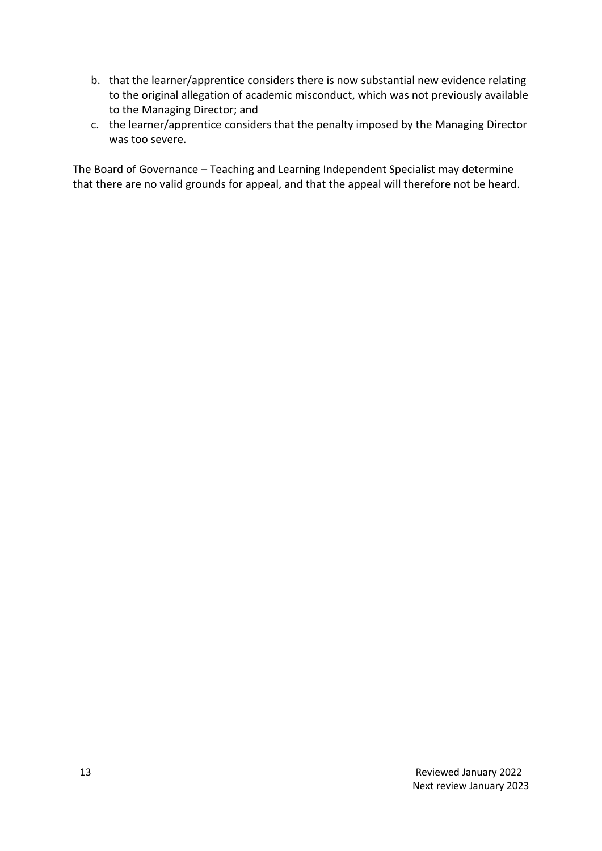- b. that the learner/apprentice considers there is now substantial new evidence relating to the original allegation of academic misconduct, which was not previously available to the Managing Director; and
- c. the learner/apprentice considers that the penalty imposed by the Managing Director was too severe.

The Board of Governance – Teaching and Learning Independent Specialist may determine that there are no valid grounds for appeal, and that the appeal will therefore not be heard.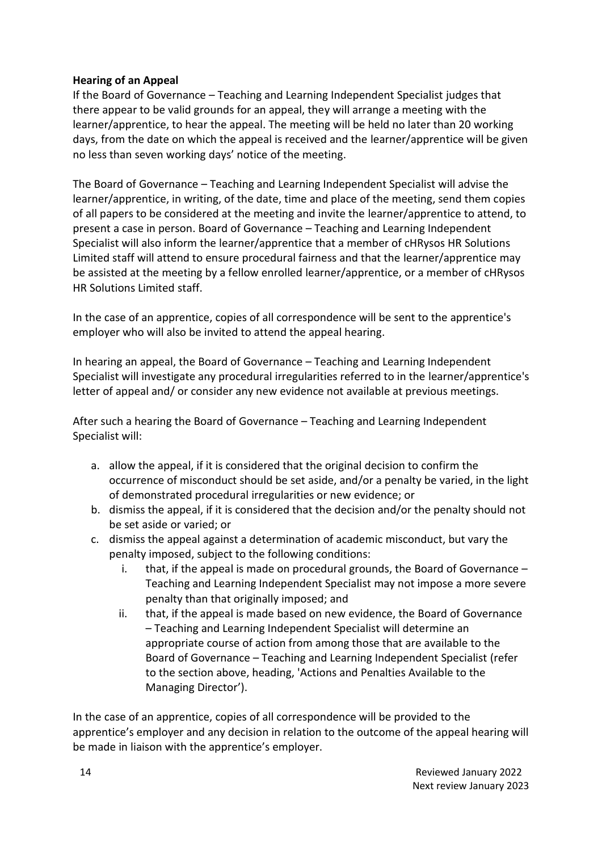## **Hearing of an Appeal**

If the Board of Governance – Teaching and Learning Independent Specialist judges that there appear to be valid grounds for an appeal, they will arrange a meeting with the learner/apprentice, to hear the appeal. The meeting will be held no later than 20 working days, from the date on which the appeal is received and the learner/apprentice will be given no less than seven working days' notice of the meeting.

The Board of Governance – Teaching and Learning Independent Specialist will advise the learner/apprentice, in writing, of the date, time and place of the meeting, send them copies of all papers to be considered at the meeting and invite the learner/apprentice to attend, to present a case in person. Board of Governance – Teaching and Learning Independent Specialist will also inform the learner/apprentice that a member of cHRysos HR Solutions Limited staff will attend to ensure procedural fairness and that the learner/apprentice may be assisted at the meeting by a fellow enrolled learner/apprentice, or a member of cHRysos HR Solutions Limited staff.

In the case of an apprentice, copies of all correspondence will be sent to the apprentice's employer who will also be invited to attend the appeal hearing.

In hearing an appeal, the Board of Governance – Teaching and Learning Independent Specialist will investigate any procedural irregularities referred to in the learner/apprentice's letter of appeal and/ or consider any new evidence not available at previous meetings.

After such a hearing the Board of Governance – Teaching and Learning Independent Specialist will:

- a. allow the appeal, if it is considered that the original decision to confirm the occurrence of misconduct should be set aside, and/or a penalty be varied, in the light of demonstrated procedural irregularities or new evidence; or
- b. dismiss the appeal, if it is considered that the decision and/or the penalty should not be set aside or varied; or
- c. dismiss the appeal against a determination of academic misconduct, but vary the penalty imposed, subject to the following conditions:
	- i. that, if the appeal is made on procedural grounds, the Board of Governance Teaching and Learning Independent Specialist may not impose a more severe penalty than that originally imposed; and
	- ii. that, if the appeal is made based on new evidence, the Board of Governance – Teaching and Learning Independent Specialist will determine an appropriate course of action from among those that are available to the Board of Governance – Teaching and Learning Independent Specialist (refer to the section above, heading, 'Actions and Penalties Available to the Managing Director').

In the case of an apprentice, copies of all correspondence will be provided to the apprentice's employer and any decision in relation to the outcome of the appeal hearing will be made in liaison with the apprentice's employer.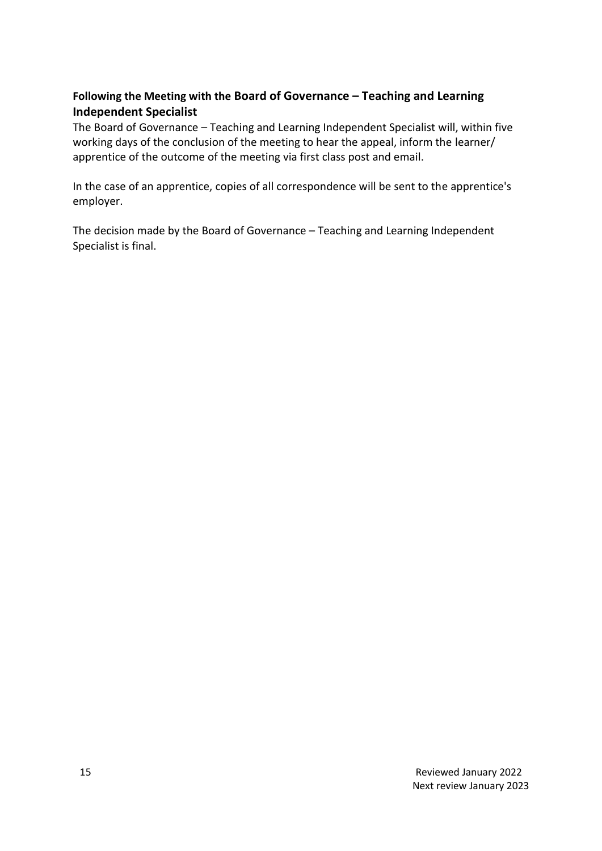# **Following the Meeting with the Board of Governance – Teaching and Learning Independent Specialist**

The Board of Governance – Teaching and Learning Independent Specialist will, within five working days of the conclusion of the meeting to hear the appeal, inform the learner/ apprentice of the outcome of the meeting via first class post and email.

In the case of an apprentice, copies of all correspondence will be sent to the apprentice's employer.

The decision made by the Board of Governance – Teaching and Learning Independent Specialist is final.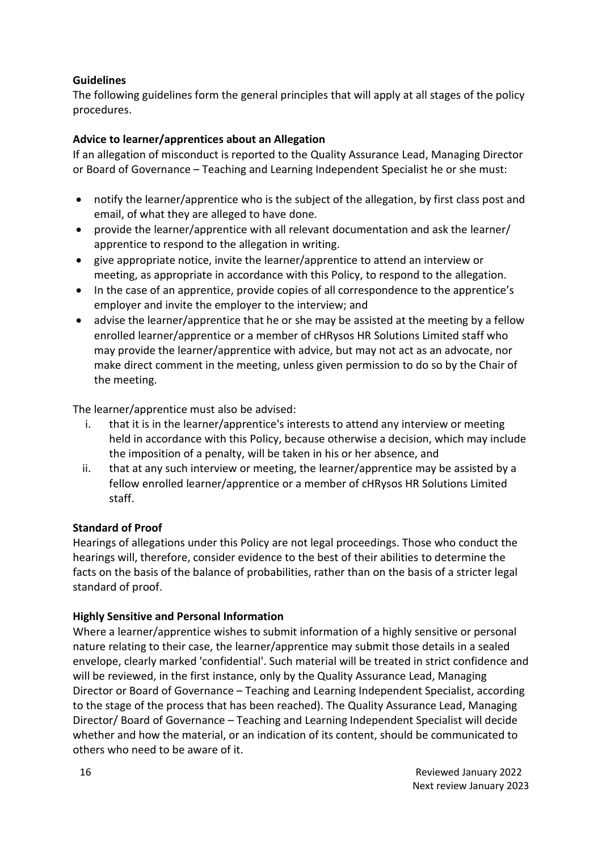## **Guidelines**

The following guidelines form the general principles that will apply at all stages of the policy procedures.

## **Advice to learner/apprentices about an Allegation**

If an allegation of misconduct is reported to the Quality Assurance Lead, Managing Director or Board of Governance – Teaching and Learning Independent Specialist he or she must:

- notify the learner/apprentice who is the subject of the allegation, by first class post and email, of what they are alleged to have done.
- provide the learner/apprentice with all relevant documentation and ask the learner/ apprentice to respond to the allegation in writing.
- give appropriate notice, invite the learner/apprentice to attend an interview or meeting, as appropriate in accordance with this Policy, to respond to the allegation.
- In the case of an apprentice, provide copies of all correspondence to the apprentice's employer and invite the employer to the interview; and
- advise the learner/apprentice that he or she may be assisted at the meeting by a fellow enrolled learner/apprentice or a member of cHRysos HR Solutions Limited staff who may provide the learner/apprentice with advice, but may not act as an advocate, nor make direct comment in the meeting, unless given permission to do so by the Chair of the meeting.

The learner/apprentice must also be advised:

- i. that it is in the learner/apprentice's interests to attend any interview or meeting held in accordance with this Policy, because otherwise a decision, which may include the imposition of a penalty, will be taken in his or her absence, and
- ii. that at any such interview or meeting, the learner/apprentice may be assisted by a fellow enrolled learner/apprentice or a member of cHRysos HR Solutions Limited staff.

## **Standard of Proof**

Hearings of allegations under this Policy are not legal proceedings. Those who conduct the hearings will, therefore, consider evidence to the best of their abilities to determine the facts on the basis of the balance of probabilities, rather than on the basis of a stricter legal standard of proof.

## **Highly Sensitive and Personal Information**

Where a learner/apprentice wishes to submit information of a highly sensitive or personal nature relating to their case, the learner/apprentice may submit those details in a sealed envelope, clearly marked 'confidential'. Such material will be treated in strict confidence and will be reviewed, in the first instance, only by the Quality Assurance Lead, Managing Director or Board of Governance – Teaching and Learning Independent Specialist, according to the stage of the process that has been reached). The Quality Assurance Lead, Managing Director/ Board of Governance – Teaching and Learning Independent Specialist will decide whether and how the material, or an indication of its content, should be communicated to others who need to be aware of it.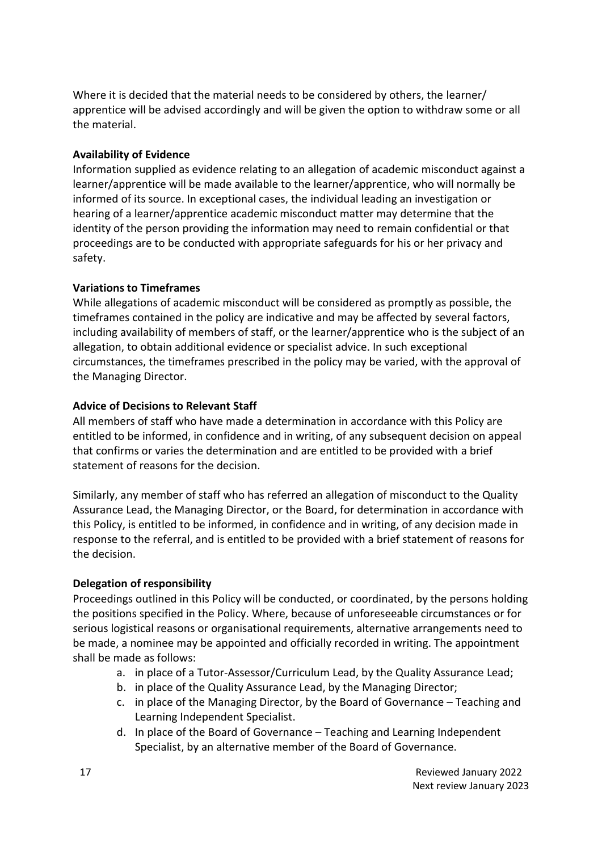Where it is decided that the material needs to be considered by others, the learner/ apprentice will be advised accordingly and will be given the option to withdraw some or all the material.

## **Availability of Evidence**

Information supplied as evidence relating to an allegation of academic misconduct against a learner/apprentice will be made available to the learner/apprentice, who will normally be informed of its source. In exceptional cases, the individual leading an investigation or hearing of a learner/apprentice academic misconduct matter may determine that the identity of the person providing the information may need to remain confidential or that proceedings are to be conducted with appropriate safeguards for his or her privacy and safety.

#### **Variations to Timeframes**

While allegations of academic misconduct will be considered as promptly as possible, the timeframes contained in the policy are indicative and may be affected by several factors, including availability of members of staff, or the learner/apprentice who is the subject of an allegation, to obtain additional evidence or specialist advice. In such exceptional circumstances, the timeframes prescribed in the policy may be varied, with the approval of the Managing Director.

#### **Advice of Decisions to Relevant Staff**

All members of staff who have made a determination in accordance with this Policy are entitled to be informed, in confidence and in writing, of any subsequent decision on appeal that confirms or varies the determination and are entitled to be provided with a brief statement of reasons for the decision.

Similarly, any member of staff who has referred an allegation of misconduct to the Quality Assurance Lead, the Managing Director, or the Board, for determination in accordance with this Policy, is entitled to be informed, in confidence and in writing, of any decision made in response to the referral, and is entitled to be provided with a brief statement of reasons for the decision.

## **Delegation of responsibility**

Proceedings outlined in this Policy will be conducted, or coordinated, by the persons holding the positions specified in the Policy. Where, because of unforeseeable circumstances or for serious logistical reasons or organisational requirements, alternative arrangements need to be made, a nominee may be appointed and officially recorded in writing. The appointment shall be made as follows:

- a. in place of a Tutor-Assessor/Curriculum Lead, by the Quality Assurance Lead;
- b. in place of the Quality Assurance Lead, by the Managing Director;
- c. in place of the Managing Director, by the Board of Governance Teaching and Learning Independent Specialist.
- d. In place of the Board of Governance Teaching and Learning Independent Specialist, by an alternative member of the Board of Governance.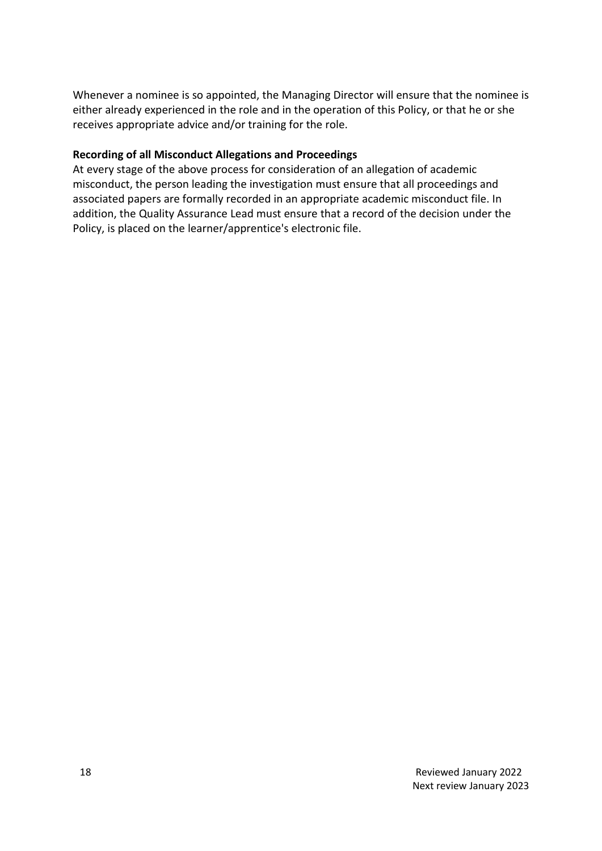Whenever a nominee is so appointed, the Managing Director will ensure that the nominee is either already experienced in the role and in the operation of this Policy, or that he or she receives appropriate advice and/or training for the role.

#### **Recording of all Misconduct Allegations and Proceedings**

At every stage of the above process for consideration of an allegation of academic misconduct, the person leading the investigation must ensure that all proceedings and associated papers are formally recorded in an appropriate academic misconduct file. In addition, the Quality Assurance Lead must ensure that a record of the decision under the Policy, is placed on the learner/apprentice's electronic file.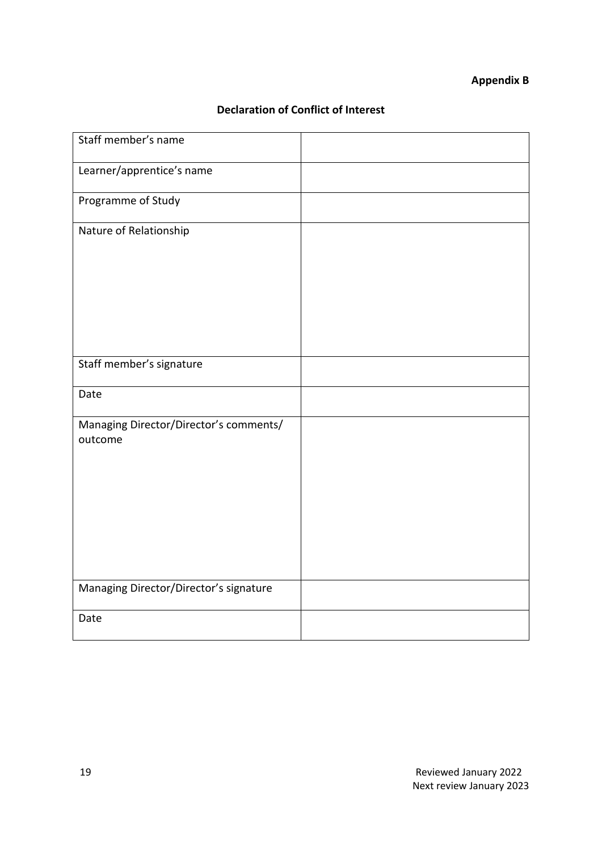## **Appendix B**

# **Declaration of Conflict of Interest**

| Staff member's name                               |  |
|---------------------------------------------------|--|
| Learner/apprentice's name                         |  |
| Programme of Study                                |  |
| Nature of Relationship                            |  |
|                                                   |  |
| Staff member's signature                          |  |
| Date                                              |  |
| Managing Director/Director's comments/<br>outcome |  |
| Managing Director/Director's signature            |  |
| Date                                              |  |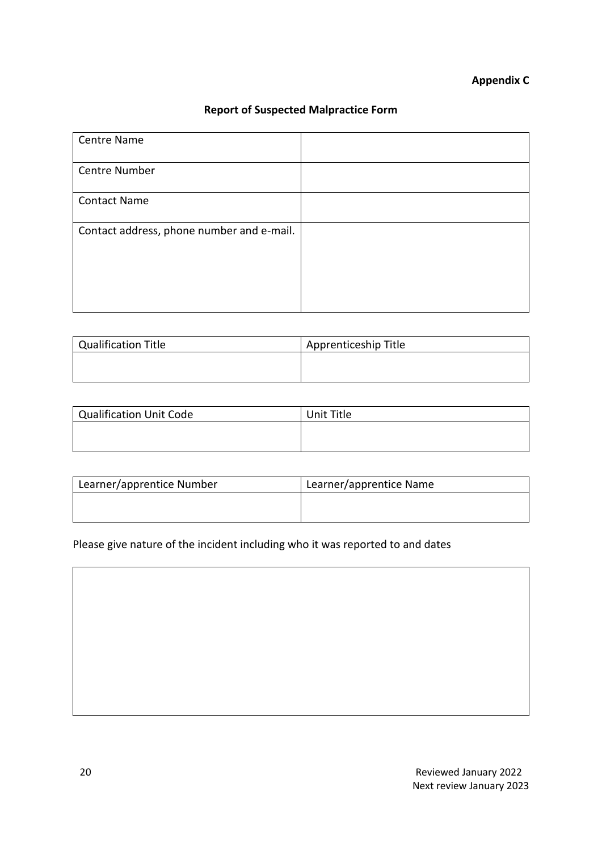# **Appendix C**

# **Report of Suspected Malpractice Form**

| <b>Centre Name</b>                        |  |
|-------------------------------------------|--|
| Centre Number                             |  |
| <b>Contact Name</b>                       |  |
| Contact address, phone number and e-mail. |  |
|                                           |  |
|                                           |  |

| Qualification Title | Apprenticeship Title |
|---------------------|----------------------|
|                     |                      |
|                     |                      |

| Qualification Unit Code | Unit Title |
|-------------------------|------------|
|                         |            |
|                         |            |

| Learner/apprentice Number | Learner/apprentice Name |
|---------------------------|-------------------------|
|                           |                         |
|                           |                         |

Please give nature of the incident including who it was reported to and dates